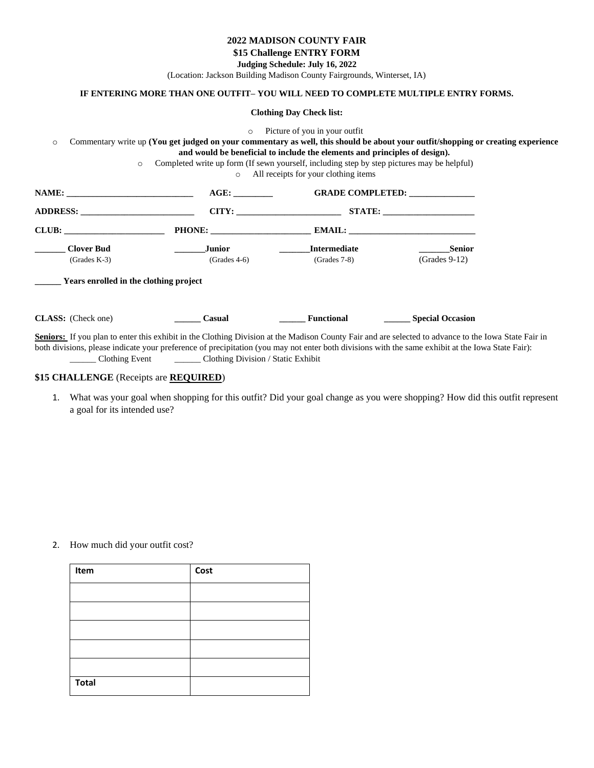### **2022 MADISON COUNTY FAIR**

**\$15 Challenge ENTRY FORM**

**Judging Schedule: July 16, 2022**

(Location: Jackson Building Madison County Fairgrounds, Winterset, IA)

# **IF ENTERING MORE THAN ONE OUTFIT– YOU WILL NEED TO COMPLETE MULTIPLE ENTRY FORMS.**

**Clothing Day Check list:** 

o Picture of you in your outfit o Commentary write up **(You get judged on your commentary as well, this should be about your outfit/shopping or creating experience and would be beneficial to include the elements and principles of design).** o Completed write up form (If sewn yourself, including step by step pictures may be helpful) o All receipts for your clothing items **NAME: \_\_\_\_\_\_\_\_\_\_\_\_\_\_\_\_\_\_\_\_\_\_\_\_\_\_\_\_\_ AGE: \_\_\_\_\_\_\_\_\_ GRADE COMPLETED: \_\_\_\_\_\_\_\_\_\_\_\_\_\_\_ ADDRESS: \_\_\_\_\_\_\_\_\_\_\_\_\_\_\_\_\_\_\_\_\_\_\_\_\_\_ CITY: \_\_\_\_\_\_\_\_\_\_\_\_\_\_\_\_\_\_\_\_\_\_\_\_ STATE: \_\_\_\_\_\_\_\_\_\_\_\_\_\_\_\_\_\_\_\_\_ CLUB: \_\_\_\_\_\_\_\_\_\_\_\_\_\_\_\_\_\_\_\_\_\_\_ PHONE: \_\_\_\_\_\_\_\_\_\_\_\_\_\_\_\_\_\_\_\_\_\_\_ EMAIL: \_\_\_\_\_\_\_\_\_\_\_\_\_\_\_\_\_\_\_\_\_\_\_\_\_\_\_\_\_ \_\_\_\_\_\_\_ Clover Bud \_\_\_\_\_\_\_Junior \_\_\_\_\_\_\_Intermediate \_\_\_\_\_\_\_Senior** (Grades K-3) (Grades 4-6) (Grades 7-8) (Grades 9-12) **\_\_\_\_\_\_ Years enrolled in the clothing project CLASS:** (Check one) **\_\_\_\_\_\_ Casual \_\_\_\_\_\_ Functional \_\_\_\_\_\_ Special Occasion**  Seniors: If you plan to enter this exhibit in the Clothing Division at the Madison County Fair and are selected to advance to the Iowa State Fair in both divisions, please indicate your preference of precipitation (you may not enter both divisions with the same exhibit at the Iowa State Fair):

\_\_\_\_\_\_ Clothing Event \_\_\_\_\_\_ Clothing Division / Static Exhibit

# **\$15 CHALLENGE** (Receipts are **REQUIRED**)

1. What was your goal when shopping for this outfit? Did your goal change as you were shopping? How did this outfit represent a goal for its intended use?

#### 2. How much did your outfit cost?

| Item         | Cost |
|--------------|------|
|              |      |
|              |      |
|              |      |
|              |      |
|              |      |
| <b>Total</b> |      |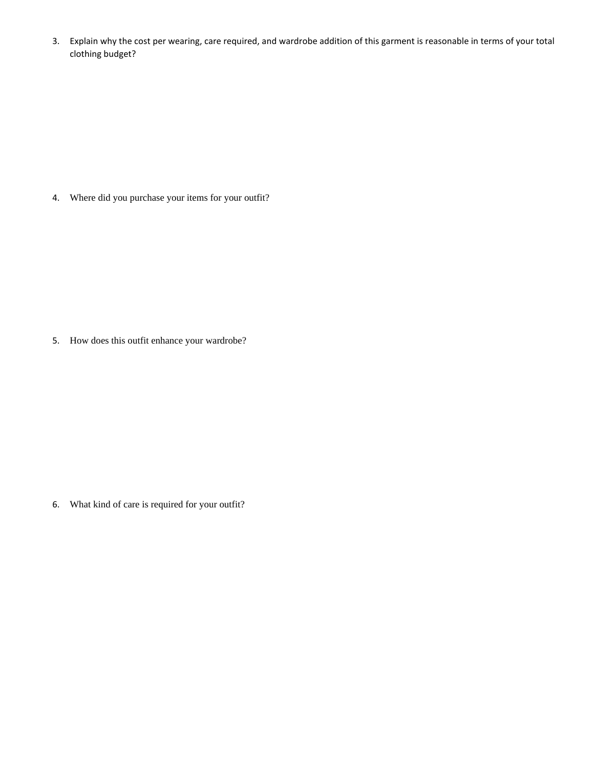3. Explain why the cost per wearing, care required, and wardrobe addition of this garment is reasonable in terms of your total clothing budget?

4. Where did you purchase your items for your outfit?

5. How does this outfit enhance your wardrobe?

6. What kind of care is required for your outfit?